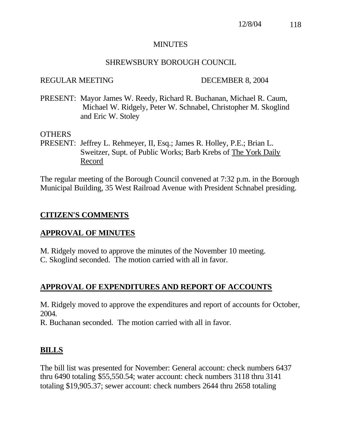## MINUTES

# SHREWSBURY BOROUGH COUNCIL

#### REGULAR MEETING DECEMBER 8, 2004

PRESENT: Mayor James W. Reedy, Richard R. Buchanan, Michael R. Caum, Michael W. Ridgely, Peter W. Schnabel, Christopher M. Skoglind and Eric W. Stoley

## OTHERS

PRESENT: Jeffrey L. Rehmeyer, II, Esq.; James R. Holley, P.E.; Brian L. Sweitzer, Supt. of Public Works; Barb Krebs of The York Daily Record

The regular meeting of the Borough Council convened at 7:32 p.m. in the Borough Municipal Building, 35 West Railroad Avenue with President Schnabel presiding.

## **CITIZEN'S COMMENTS**

# **APPROVAL OF MINUTES**

M. Ridgely moved to approve the minutes of the November 10 meeting. C. Skoglind seconded. The motion carried with all in favor.

# **APPROVAL OF EXPENDITURES AND REPORT OF ACCOUNTS**

M. Ridgely moved to approve the expenditures and report of accounts for October, 2004.

R. Buchanan seconded. The motion carried with all in favor.

## **BILLS**

The bill list was presented for November: General account: check numbers 6437 thru 6490 totaling \$55,550.54; water account: check numbers 3118 thru 3141 totaling \$19,905.37; sewer account: check numbers 2644 thru 2658 totaling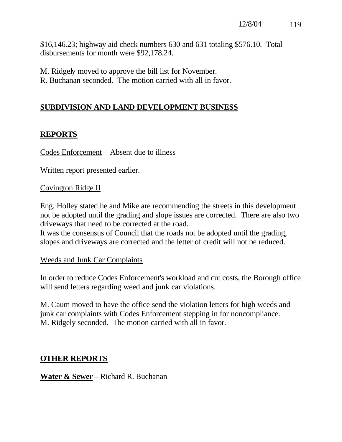\$16,146.23; highway aid check numbers 630 and 631 totaling \$576.10. Total disbursements for month were \$92,178.24.

- M. Ridgely moved to approve the bill list for November.
- R. Buchanan seconded. The motion carried with all in favor.

# **SUBDIVISION AND LAND DEVELOPMENT BUSINESS**

# **REPORTS**

Codes Enforcement – Absent due to illness

Written report presented earlier.

## Covington Ridge II

Eng. Holley stated he and Mike are recommending the streets in this development not be adopted until the grading and slope issues are corrected. There are also two driveways that need to be corrected at the road.

It was the consensus of Council that the roads not be adopted until the grading, slopes and driveways are corrected and the letter of credit will not be reduced.

Weeds and Junk Car Complaints

In order to reduce Codes Enforcement's workload and cut costs, the Borough office will send letters regarding weed and junk car violations.

M. Caum moved to have the office send the violation letters for high weeds and junk car complaints with Codes Enforcement stepping in for noncompliance. M. Ridgely seconded. The motion carried with all in favor.

# **OTHER REPORTS**

**Water & Sewer** – Richard R. Buchanan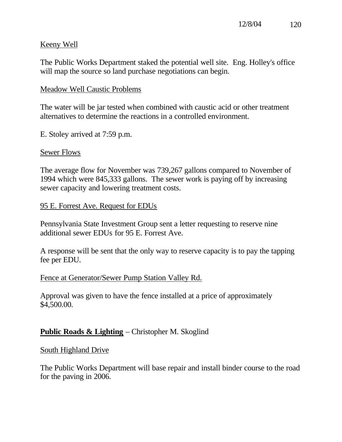# Keeny Well

The Public Works Department staked the potential well site. Eng. Holley's office will map the source so land purchase negotiations can begin.

## Meadow Well Caustic Problems

The water will be jar tested when combined with caustic acid or other treatment alternatives to determine the reactions in a controlled environment.

E. Stoley arrived at 7:59 p.m.

## Sewer Flows

The average flow for November was 739,267 gallons compared to November of 1994 which were 845,333 gallons. The sewer work is paying off by increasing sewer capacity and lowering treatment costs.

## 95 E. Forrest Ave. Request for EDUs

Pennsylvania State Investment Group sent a letter requesting to reserve nine additional sewer EDUs for 95 E. Forrest Ave.

A response will be sent that the only way to reserve capacity is to pay the tapping fee per EDU.

## Fence at Generator/Sewer Pump Station Valley Rd.

Approval was given to have the fence installed at a price of approximately \$4,500.00.

# **Public Roads & Lighting** – Christopher M. Skoglind

## South Highland Drive

The Public Works Department will base repair and install binder course to the road for the paving in 2006.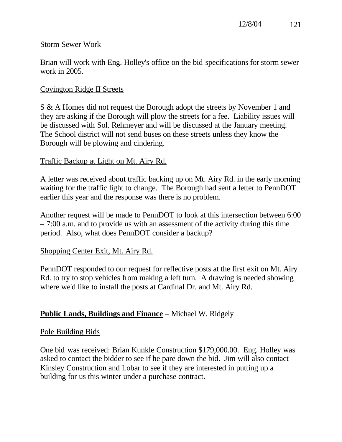## Storm Sewer Work

Brian will work with Eng. Holley's office on the bid specifications for storm sewer work in 2005.

## Covington Ridge II Streets

S & A Homes did not request the Borough adopt the streets by November 1 and they are asking if the Borough will plow the streets for a fee. Liability issues will be discussed with Sol. Rehmeyer and will be discussed at the January meeting. The School district will not send buses on these streets unless they know the Borough will be plowing and cindering.

## Traffic Backup at Light on Mt. Airy Rd.

A letter was received about traffic backing up on Mt. Airy Rd. in the early morning waiting for the traffic light to change. The Borough had sent a letter to PennDOT earlier this year and the response was there is no problem.

Another request will be made to PennDOT to look at this intersection between 6:00 – 7:00 a.m. and to provide us with an assessment of the activity during this time period. Also, what does PennDOT consider a backup?

## Shopping Center Exit, Mt. Airy Rd.

PennDOT responded to our request for reflective posts at the first exit on Mt. Airy Rd. to try to stop vehicles from making a left turn. A drawing is needed showing where we'd like to install the posts at Cardinal Dr. and Mt. Airy Rd.

# **Public Lands, Buildings and Finance** – Michael W. Ridgely

## Pole Building Bids

One bid was received: Brian Kunkle Construction \$179,000.00. Eng. Holley was asked to contact the bidder to see if he pare down the bid. Jim will also contact Kinsley Construction and Lobar to see if they are interested in putting up a building for us this winter under a purchase contract.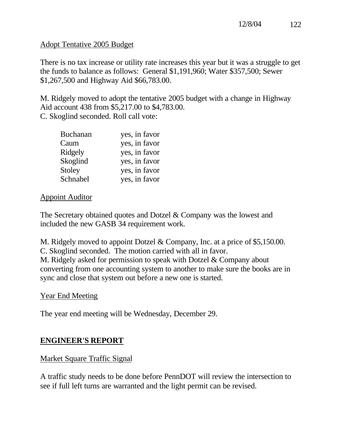# Adopt Tentative 2005 Budget

There is no tax increase or utility rate increases this year but it was a struggle to get the funds to balance as follows: General \$1,191,960; Water \$357,500; Sewer \$1,267,500 and Highway Aid \$66,783.00.

M. Ridgely moved to adopt the tentative 2005 budget with a change in Highway Aid account 438 from \$5,217.00 to \$4,783.00. C. Skoglind seconded. Roll call vote:

| <b>Buchanan</b> | yes, in favor |
|-----------------|---------------|
| Caum            | yes, in favor |
| Ridgely         | yes, in favor |
| Skoglind        | yes, in favor |
| Stoley          | yes, in favor |
| Schnabel        | yes, in favor |

# Appoint Auditor

The Secretary obtained quotes and Dotzel & Company was the lowest and included the new GASB 34 requirement work.

M. Ridgely moved to appoint Dotzel & Company, Inc. at a price of \$5,150.00. C. Skoglind seconded. The motion carried with all in favor. M. Ridgely asked for permission to speak with Dotzel & Company about converting from one accounting system to another to make sure the books are in sync and close that system out before a new one is started.

# Year End Meeting

The year end meeting will be Wednesday, December 29.

# **ENGINEER'S REPORT**

# Market Square Traffic Signal

A traffic study needs to be done before PennDOT will review the intersection to see if full left turns are warranted and the light permit can be revised.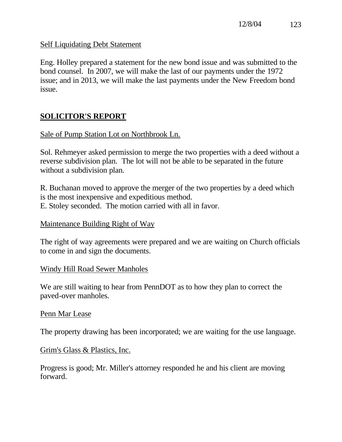## Self Liquidating Debt Statement

Eng. Holley prepared a statement for the new bond issue and was submitted to the bond counsel. In 2007, we will make the last of our payments under the 1972 issue; and in 2013, we will make the last payments under the New Freedom bond issue.

# **SOLICITOR'S REPORT**

Sale of Pump Station Lot on Northbrook Ln.

Sol. Rehmeyer asked permission to merge the two properties with a deed without a reverse subdivision plan. The lot will not be able to be separated in the future without a subdivision plan.

R. Buchanan moved to approve the merger of the two properties by a deed which is the most inexpensive and expeditious method. E. Stoley seconded. The motion carried with all in favor.

## Maintenance Building Right of Way

The right of way agreements were prepared and we are waiting on Church officials to come in and sign the documents.

## Windy Hill Road Sewer Manholes

We are still waiting to hear from PennDOT as to how they plan to correct the paved-over manholes.

## Penn Mar Lease

The property drawing has been incorporated; we are waiting for the use language.

## Grim's Glass & Plastics, Inc.

Progress is good; Mr. Miller's attorney responded he and his client are moving forward.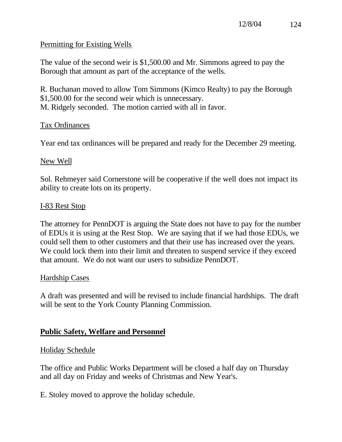# Permitting for Existing Wells

The value of the second weir is \$1,500.00 and Mr. Simmons agreed to pay the Borough that amount as part of the acceptance of the wells.

R. Buchanan moved to allow Tom Simmons (Kimco Realty) to pay the Borough \$1,500.00 for the second weir which is unnecessary. M. Ridgely seconded. The motion carried with all in favor.

## Tax Ordinances

Year end tax ordinances will be prepared and ready for the December 29 meeting.

## New Well

Sol. Rehmeyer said Cornerstone will be cooperative if the well does not impact its ability to create lots on its property.

## I-83 Rest Stop

The attorney for PennDOT is arguing the State does not have to pay for the number of EDUs it is using at the Rest Stop. We are saying that if we had those EDUs, we could sell them to other customers and that their use has increased over the years. We could lock them into their limit and threaten to suspend service if they exceed that amount. We do not want our users to subsidize PennDOT.

## Hardship Cases

A draft was presented and will be revised to include financial hardships. The draft will be sent to the York County Planning Commission.

# **Public Safety, Welfare and Personnel**

# Holiday Schedule

The office and Public Works Department will be closed a half day on Thursday and all day on Friday and weeks of Christmas and New Year's.

E. Stoley moved to approve the holiday schedule.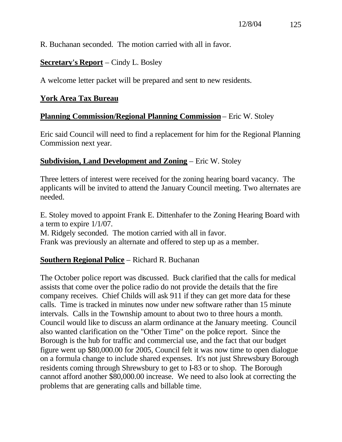R. Buchanan seconded. The motion carried with all in favor.

# **Secretary's Report** – Cindy L. Bosley

A welcome letter packet will be prepared and sent to new residents.

# **York Area Tax Bureau**

# **Planning Commission/Regional Planning Commission** – Eric W. Stoley

Eric said Council will need to find a replacement for him for the Regional Planning Commission next year.

# **Subdivision, Land Development and Zoning** – Eric W. Stoley

Three letters of interest were received for the zoning hearing board vacancy. The applicants will be invited to attend the January Council meeting. Two alternates are needed.

E. Stoley moved to appoint Frank E. Dittenhafer to the Zoning Hearing Board with a term to expire 1/1/07. M. Ridgely seconded. The motion carried with all in favor.

Frank was previously an alternate and offered to step up as a member.

# **Southern Regional Police** – Richard R. Buchanan

The October police report was discussed. Buck clarified that the calls for medical assists that come over the police radio do not provide the details that the fire company receives. Chief Childs will ask 911 if they can get more data for these calls. Time is tracked in minutes now under new software rather than 15 minute intervals. Calls in the Township amount to about two to three hours a month. Council would like to discuss an alarm ordinance at the January meeting. Council also wanted clarification on the "Other Time" on the police report. Since the Borough is the hub for traffic and commercial use, and the fact that our budget figure went up \$80,000.00 for 2005, Council felt it was now time to open dialogue on a formula change to include shared expenses. It's not just Shrewsbury Borough residents coming through Shrewsbury to get to I-83 or to shop. The Borough cannot afford another \$80,000.00 increase. We need to also look at correcting the problems that are generating calls and billable time.